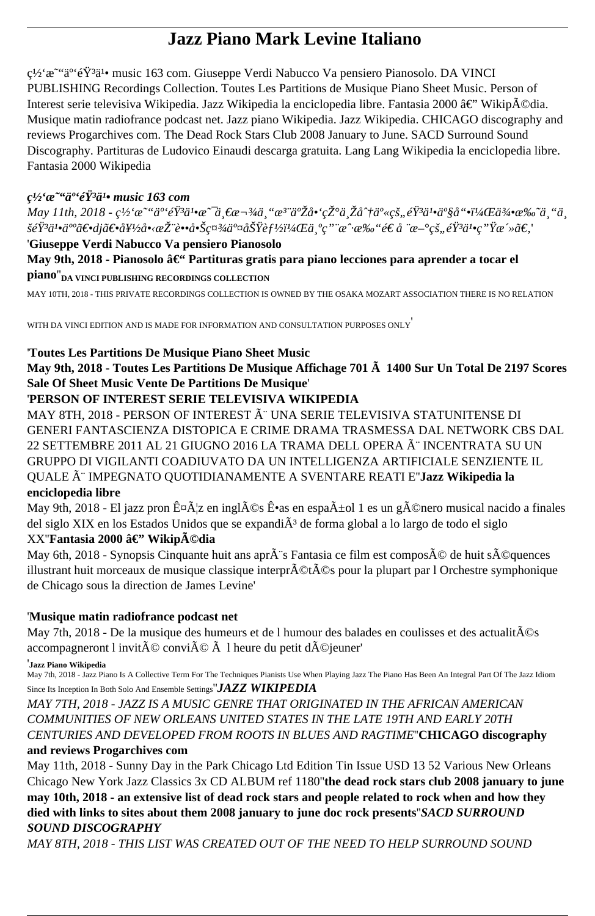# **Jazz Piano Mark Levine Italiano**

c<sup>1</sup>/2'  $x^{\alpha}$  a<sup>o</sup> 'e  $\ddot{Y}$ <sup>3</sup> a<sup>1</sup> music 163 com. Giuseppe Verdi Nabucco Va pensiero Pianosolo. DA VINCI PUBLISHING Recordings Collection. Toutes Les Partitions de Musique Piano Sheet Music. Person of Interest serie televisiva Wikipedia. Jazz Wikipedia la enciclopedia libre. Fantasia 2000 â€" Wikipédia. Musique matin radiofrance podcast net. Jazz piano Wikipedia. Jazz Wikipedia. CHICAGO discography and reviews Progarchives com. The Dead Rock Stars Club 2008 January to June. SACD Surround Sound Discography. Partituras de Ludovico Einaudi descarga gratuita. Lang Lang Wikipedia la enciclopedia libre. Fantasia 2000 Wikipedia

#### $\mathcal{C}^{1/2}$ ' $\alpha$ <sup>-c'</sup>a<sup>oc</sup>éŸ<sup>3</sup>a'• music 163 com

*May 11th, 2018 - c<sup>1</sup>/<sub>2</sub>'œ* ""ä<sup>o</sup>'éŸ<sup>3</sup>ä<sup>1</sup>•æ ~ä €æ ¬¾ä "æ<sup>3</sup>¨ä°Žå•'现ä Žå^†ä°«çš,,éŸ<sup>3</sup>ä<sup>1</sup>•ä°§å "•,侕æ‰~ä "ä šéŸ<sup>3</sup>ä<sup>1</sup>•ä<sup>∞</sup>〕dj〕好啋推蕕啊社交功èf½ï¼Œä ºç "¨æ^·æ‰"é€ å ¨æ–°çš"éŸ<sup>3</sup>ä!•ç "Ÿæ´»ã€,'

## '**Giuseppe Verdi Nabucco Va pensiero Pianosolo**

May 9th, 2018 - Pianosolo â€<sup>"</sup> Partituras gratis para piano lecciones para aprender a tocar el **piano**''**DA VINCI PUBLISHING RECORDINGS COLLECTION**

MAY 10TH, 2018 - THIS PRIVATE RECORDINGS COLLECTION IS OWNED BY THE OSAKA MOZART ASSOCIATION THERE IS NO RELATION

WITH DA VINCI EDITION AND IS MADE FOR INFORMATION AND CONSULTATION PURPOSES ONLY'

### '**Toutes Les Partitions De Musique Piano Sheet Music**

**May 9th, 2018 - Toutes Les Partitions De Musique Affichage 701 Ã 1400 Sur Un Total De 2197 Scores Sale Of Sheet Music Vente De Partitions De Musique**'

### '**PERSON OF INTEREST SERIE TELEVISIVA WIKIPEDIA**

MAY 8TH, 2018 - PERSON OF INTEREST  $\tilde{A}$ " UNA SERIE TELEVISIVA STATUNITENSE DI GENERI FANTASCIENZA DISTOPICA E CRIME DRAMA TRASMESSA DAL NETWORK CBS DAL 22 SETTEMBRE 2011 AL 21 GIUGNO 2016 LA TRAMA DELL OPERA è INCENTRATA SU UN GRUPPO DI VIGILANTI COADIUVATO DA UN INTELLIGENZA ARTIFICIALE SENZIENTE IL QUALE è IMPEGNATO QUOTIDIANAMENTE A SVENTARE REATI E''**Jazz Wikipedia la enciclopedia libre**

May 9th, 2018 - El jazz pron ʤæz en inglés Ê•as en español 1 es un género musical nacido a finales del siglo XIX en los Estados Unidos que se expandi $\tilde{A}^3$  de forma global a lo largo de todo el siglo XX"**Fantasia 2000 â€"** Wikip**Ã**©dia

### May 6th, 2018 - Synopsis Cinquante huit ans apr $\tilde{A}$ "s Fantasia ce film est compos $\tilde{A}$ © de huit s $\tilde{A}$ ©quences illustrant huit morceaux de musique classique interpr $\tilde{A}\mathbb{O}$ t $\tilde{A}\mathbb{O}$ s pour la plupart par l Orchestre symphonique de Chicago sous la direction de James Levine'

## '**Musique matin radiofrance podcast net**

May 7th, 2018 - De la musique des humeurs et de l humour des balades en coulisses et des actualit $\tilde{A}$ ©s accompagneront l invit $\tilde{A} \mathbb{O}$  convi $\tilde{A} \mathbb{O}$   $\tilde{A}$  l heure du petit d $\tilde{A} \mathbb{O}$ jeuner'

'**Jazz Piano Wikipedia**

May 7th, 2018 - Jazz Piano Is A Collective Term For The Techniques Pianists Use When Playing Jazz The Piano Has Been An Integral Part Of The Jazz Idiom Since Its Inception In Both Solo And Ensemble Settings''*JAZZ WIKIPEDIA*

*MAY 7TH, 2018 - JAZZ IS A MUSIC GENRE THAT ORIGINATED IN THE AFRICAN AMERICAN COMMUNITIES OF NEW ORLEANS UNITED STATES IN THE LATE 19TH AND EARLY 20TH CENTURIES AND DEVELOPED FROM ROOTS IN BLUES AND RAGTIME*''**CHICAGO discography**

## **and reviews Progarchives com**

May 11th, 2018 - Sunny Day in the Park Chicago Ltd Edition Tin Issue USD 13 52 Various New Orleans Chicago New York Jazz Classics 3x CD ALBUM ref 1180''**the dead rock stars club 2008 january to june may 10th, 2018 - an extensive list of dead rock stars and people related to rock when and how they died with links to sites about them 2008 january to june doc rock presents**''*SACD SURROUND SOUND DISCOGRAPHY*

*MAY 8TH, 2018 - THIS LIST WAS CREATED OUT OF THE NEED TO HELP SURROUND SOUND*